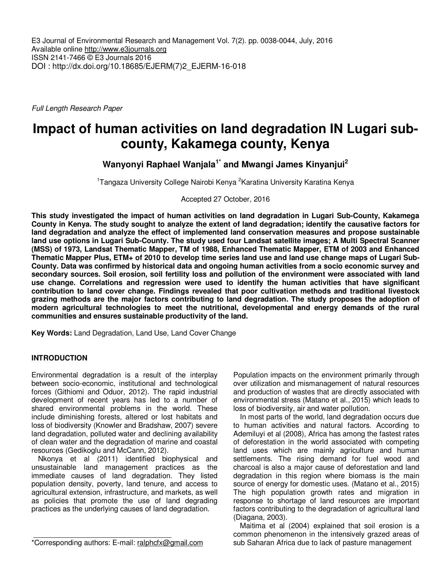E3 Journal of Environmental Research and Management Vol. 7(2). pp. 0038-0044, July, 2016 Available online http://www.e3journals.org ISSN 2141-7466 © E3 Journals 2016 DOI : http://dx.doi.org/10.18685/EJERM(7)2\_EJERM-16-018

Full Length Research Paper

# **Impact of human activities on land degradation IN Lugari subcounty, Kakamega county, Kenya**

**Wanyonyi Raphael Wanjala1\* and Mwangi James Kinyanjui<sup>2</sup>**

<sup>1</sup>Tangaza University College Nairobi Kenya <sup>2</sup>Karatina University Karatina Kenya

Accepted 27 October, 2016

**This study investigated the impact of human activities on land degradation in Lugari Sub-County, Kakamega County in Kenya. The study sought to analyze the extent of land degradation; identify the causative factors for land degradation and analyze the effect of implemented land conservation measures and propose sustainable land use options in Lugari Sub-County. The study used four Landsat satellite images; A Multi Spectral Scanner (MSS) of 1973, Landsat Thematic Mapper, TM of 1988, Enhanced Thematic Mapper, ETM of 2003 and Enhanced Thematic Mapper Plus, ETM+ of 2010 to develop time series land use and land use change maps of Lugari Sub-County. Data was confirmed by historical data and ongoing human activities from a socio economic survey and secondary sources. Soil erosion, soil fertility loss and pollution of the environment were associated with land use change. Correlations and regression were used to identify the human activities that have significant contribution to land cover change. Findings revealed that poor cultivation methods and traditional livestock grazing methods are the major factors contributing to land degradation. The study proposes the adoption of modern agricultural technologies to meet the nutritional, developmental and energy demands of the rural communities and ensures sustainable productivity of the land.** 

**Key Words:** Land Degradation, Land Use, Land Cover Change

# **INTRODUCTION**

Environmental degradation is a result of the interplay between socio-economic, institutional and technological forces (Githiomi and Oduor, 2012). The rapid industrial development of recent years has led to a number of shared environmental problems in the world. These include diminishing forests, altered or lost habitats and loss of biodiversity (Knowler and Bradshaw, 2007) severe land degradation, polluted water and declining availability of clean water and the degradation of marine and coastal resources (Gedikoglu and McCann, 2012).

Nkonya et al (2011) identified biophysical and unsustainable land management practices as the immediate causes of land degradation. They listed population density, poverty, land tenure, and access to agricultural extension, infrastructure, and markets, as well as policies that promote the use of land degrading practices as the underlying causes of land degradation.

\*Corresponding authors: E-mail: ralphcfx@gmail.com

Population impacts on the environment primarily through over utilization and mismanagement of natural resources and production of wastes that are directly associated with environmental stress (Matano et al., 2015) which leads to loss of biodiversity, air and water pollution.

In most parts of the world, land degradation occurs due to human activities and natural factors. According to Ademiluyi et al (2008), Africa has among the fastest rates of deforestation in the world associated with competing land uses which are mainly agriculture and human settlements. The rising demand for fuel wood and charcoal is also a major cause of deforestation and land degradation in this region where biomass is the main source of energy for domestic uses. (Matano et al., 2015) The high population growth rates and migration in response to shortage of land resources are important factors contributing to the degradation of agricultural land (Diagana, 2003).

Maitima et al (2004) explained that soil erosion is a common phenomenon in the intensively grazed areas of sub Saharan Africa due to lack of pasture management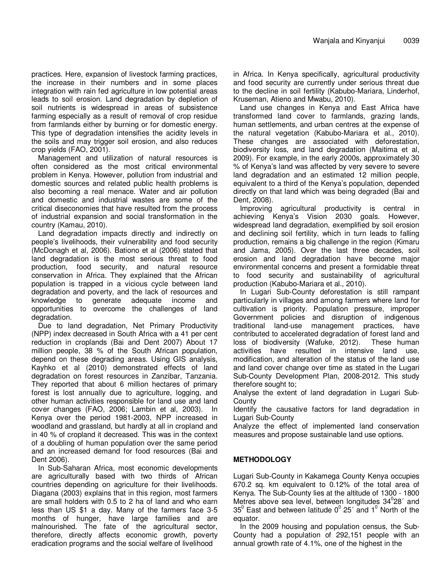practices. Here, expansion of livestock farming practices, the increase in their numbers and in some places integration with rain fed agriculture in low potential areas leads to soil erosion. Land degradation by depletion of soil nutrients is widespread in areas of subsistence farming especially as a result of removal of crop residue from farmlands either by burning or for domestic energy. This type of degradation intensifies the acidity levels in the soils and may trigger soil erosion, and also reduces crop yields (FAO, 2001).

Management and utilization of natural resources is often considered as the most critical environmental problem in Kenya. However, pollution from industrial and domestic sources and related public health problems is also becoming a real menace. Water and air pollution and domestic and industrial wastes are some of the critical diseconomies that have resulted from the process of industrial expansion and social transformation in the country (Kamau, 2010).

Land degradation impacts directly and indirectly on people's livelihoods, their vulnerability and food security (McDonagh et al, 2006). Bationo et al (2006) stated that land degradation is the most serious threat to food production, food security, and natural resource conservation in Africa. They explained that the African population is trapped in a vicious cycle between land degradation and poverty, and the lack of resources and knowledge to generate adequate income and opportunities to overcome the challenges of land degradation.

Due to land degradation, Net Primary Productivity (NPP) index decreased in South Africa with a 41 per cent reduction in croplands (Bai and Dent 2007) About 17 million people, 38 % of the South African population, depend on these degrading areas. Using GIS analysis, Kayhko et al (2010) demonstrated effects of land degradation on forest resources in Zanzibar, Tanzania. They reported that about 6 million hectares of primary forest is lost annually due to agriculture, logging, and other human activities responsible for land use and land cover changes (FAO, 2006; Lambin et al, 2003). In Kenya over the period 1981-2003, NPP increased in woodland and grassland, but hardly at all in cropland and in 40 % of cropland it decreased. This was in the context of a doubling of human population over the same period and an increased demand for food resources (Bai and Dent 2006).

In Sub-Saharan Africa, most economic developments are agriculturally based with two thirds of African countries depending on agriculture for their livelihoods. Diagana (2003) explains that in this region, most farmers are small holders with 0.5 to 2 ha of land and who earn less than US \$1 a day. Many of the farmers face 3-5 months of hunger, have large families and are malnourished. The fate of the agricultural sector, therefore, directly affects economic growth, poverty eradication programs and the social welfare of livelihood

in Africa. In Kenya specifically, agricultural productivity and food security are currently under serious threat due to the decline in soil fertility (Kabubo-Mariara, Linderhof, Kruseman, Atieno and Mwabu, 2010).

Land use changes in Kenya and East Africa have transformed land cover to farmlands, grazing lands, human settlements, and urban centres at the expense of the natural vegetation (Kabubo-Mariara et al., 2010). These changes are associated with deforestation, biodiversity loss, and land degradation (Maitima et al, 2009). For example, in the early 2000s, approximately 30 % of Kenya's land was affected by very severe to severe land degradation and an estimated 12 million people, equivalent to a third of the Kenya's population, depended directly on that land which was being degraded (Bai and Dent, 2008).

Improving agricultural productivity is central in achieving Kenya's Vision 2030 goals. However, widespread land degradation, exemplified by soil erosion and declining soil fertility, which in turn leads to falling production, remains a big challenge in the region (Kimaru and Jama, 2005). Over the last three decades, soil erosion and land degradation have become major environmental concerns and present a formidable threat to food security and sustainability of agricultural production (Kabubo-Mariara et al., 2010).

In Lugari Sub-County deforestation is still rampant particularly in villages and among farmers where land for cultivation is priority. Population pressure, improper Government policies and disruption of indigenous traditional land-use management practices, have contributed to accelerated degradation of forest land and loss of biodiversity (Wafuke, 2012). These human activities have resulted in intensive land use, modification, and alteration of the status of the land use and land cover change over time as stated in the Lugari Sub-County Development Plan, 2008-2012. This study therefore sought to;

Analyse the extent of land degradation in Lugari Sub-**County** 

Identify the causative factors for land degradation in Lugari Sub-County

Analyze the effect of implemented land conservation measures and propose sustainable land use options.

# **METHODOLOGY**

Lugari Sub-County in Kakamega County Kenya occupies 670.2 sq. km equivalent to 0.12% of the total area of Kenya. The Sub-County lies at the altitude of 1300 - 1800 Metres above sea level, between longitudes  $34^{\circ}28'$  and 35 $^0$  East and between latitude 0 $^0$  25 $^{\circ}$  and 1 $^0$  North of the equator.

In the 2009 housing and population census, the Sub-County had a population of 292,151 people with an annual growth rate of 4.1%, one of the highest in the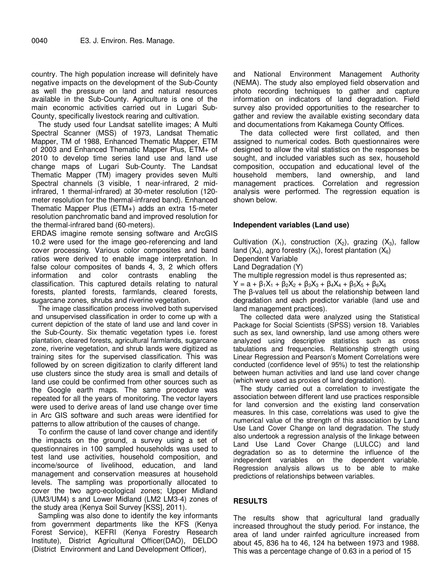country. The high population increase will definitely have negative impacts on the development of the Sub-County as well the pressure on land and natural resources available in the Sub-County. Agriculture is one of the main economic activities carried out in Lugari Sub-County, specifically livestock rearing and cultivation.

The study used four Landsat satellite images; A Multi Spectral Scanner (MSS) of 1973, Landsat Thematic Mapper, TM of 1988, Enhanced Thematic Mapper, ETM of 2003 and Enhanced Thematic Mapper Plus, ETM+ of 2010 to develop time series land use and land use change maps of Lugari Sub-County. The Landsat Thematic Mapper (TM) imagery provides seven Multi Spectral channels (3 visible, 1 near-infrared, 2 midinfrared, 1 thermal-infrared) at 30-meter resolution (120 meter resolution for the thermal-infrared band). Enhanced Thematic Mapper Plus (ETM+) adds an extra 15-meter resolution panchromatic band and improved resolution for the thermal-infrared band (60-meters).

ERDAS imagine remote sensing software and ArcGIS 10.2 were used for the image geo-referencing and land cover processing. Various color composites and band ratios were derived to enable image interpretation. In false colour composites of bands 4, 3, 2 which offers information and color contrasts enabling the classification. This captured details relating to natural forests, planted forests, farmlands, cleared forests, sugarcane zones, shrubs and riverine vegetation.

The image classification process involved both supervised and unsupervised classification in order to come up with a current depiction of the state of land use and land cover in the Sub-County. Six thematic vegetation types i.e. forest plantation, cleared forests, agricultural farmlands, sugarcane zone, riverine vegetation, and shrub lands were digitized as training sites for the supervised classification. This was followed by on screen digitization to clarify different land use clusters since the study area is small and details of land use could be confirmed from other sources such as the Google earth maps. The same procedure was repeated for all the years of monitoring. The vector layers were used to derive areas of land use change over time in Arc GIS software and such areas were identified for patterns to allow attribution of the causes of change.

To confirm the cause of land cover change and identify the impacts on the ground, a survey using a set of questionnaires in 100 sampled households was used to test land use activities, household composition, and income/source of livelihood, education, and land management and conservation measures at household levels. The sampling was proportionally allocated to cover the two agro-ecological zones; Upper Midland (UM3/UM4) s and Lower Midland (LM2 LM3-4) zones of the study area (Kenya Soil Survey [KSS], 2011).

Sampling was also done to identify the key informants from government departments like the KFS (Kenya Forest Service), KEFRI (Kenya Forestry Research Institute), District Agricultural Officer(DAO), DELDO (District Environment and Land Development Officer),

and National Environment Management Authority (NEMA). The study also employed field observation and photo recording techniques to gather and capture information on indicators of land degradation. Field survey also provided opportunities to the researcher to gather and review the available existing secondary data and documentations from Kakamega County Offices.

The data collected were first collated, and then assigned to numerical codes. Both questionnaires were designed to allow the vital statistics on the responses be sought, and included variables such as sex, household composition, occupation and educational level of the household members, land ownership, and land management practices. Correlation and regression analysis were performed. The regression equation is shown below.

### **Independent variables (Land use)**

Cultivation  $(X_1)$ , construction  $(X_2)$ , grazing  $(X_3)$ , fallow land  $(X_4)$ , agro forestry  $(X_5)$ , forest plantation  $(X_6)$ 

Dependent Variable

Land Degradation (Y)

The multiple regression model is thus represented as;

 $Y = a + β<sub>1</sub>X<sub>1</sub> + β<sub>2</sub>X<sub>2</sub> + β<sub>3</sub>X<sub>3</sub> + β<sub>4</sub>X<sub>4</sub> + β<sub>5</sub>X<sub>5</sub> + β<sub>6</sub>X<sub>6</sub>$ 

The β-values tell us about the relationship between land degradation and each predictor variable (land use and land management practices).

The collected data were analyzed using the Statistical Package for Social Scientists (SPSS) version 18. Variables such as sex, land ownership, land use among others were analyzed using descriptive statistics such as cross tabulations and frequencies. Relationship strength using Linear Regression and Pearson's Moment Correlations were conducted (confidence level of 95%) to test the relationship between human activities and land use land cover change (which were used as proxies of land degradation).

The study carried out a correlation to investigate the association between different land use practices responsible for land conversion and the existing land conservation measures. In this case, correlations was used to give the numerical value of the strength of this association by Land Use Land Cover Change on land degradation. The study also undertook a regression analysis of the linkage between Land Use Land Cover Change (LULCC) and land degradation so as to determine the influence of the independent variables on the dependent variable. Regression analysis allows us to be able to make predictions of relationships between variables.

# **RESULTS**

The results show that agricultural land gradually increased throughout the study period. For instance, the area of land under rainfed agriculture increased from about 45, 836 ha to 46, 124 ha between 1973 and 1988. This was a percentage change of 0.63 in a period of 15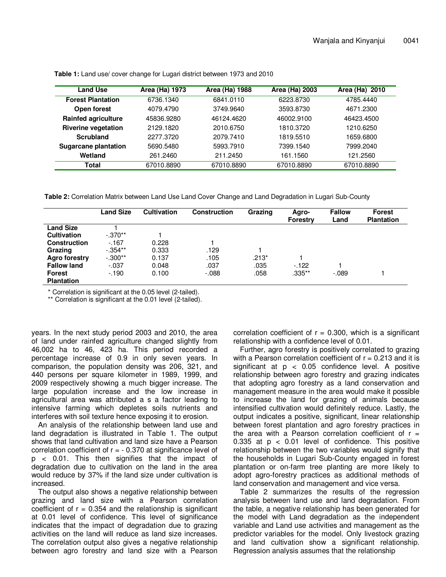| Land Use                    | Area (Ha) 1973 | Area (Ha) 1988 | Area (Ha) 2003 | Area (Ha) 2010 |
|-----------------------------|----------------|----------------|----------------|----------------|
| <b>Forest Plantation</b>    | 6736.1340      | 6841.0110      | 6223.8730      | 4785.4440      |
| Open forest                 | 4079.4790      | 3749.9640      | 3593.8730      | 4671.2300      |
| <b>Rainfed agriculture</b>  | 45836.9280     | 46124.4620     | 46002.9100     | 46423.4500     |
| <b>Riverine vegetation</b>  | 2129.1820      | 2010.6750      | 1810.3720      | 1210.6250      |
| Scrubland                   | 2277.3720      | 2079.7410      | 1819.5510      | 1659.6800      |
| <b>Sugarcane plantation</b> | 5690.5480      | 5993.7910      | 7399.1540      | 7999.2040      |
| Wetland                     | 261.2460       | 211.2450       | 161.1560       | 121.2560       |
| Total                       | 67010.8890     | 67010.8890     | 67010.8890     | 67010.8890     |

**Table 1:** Land use/ cover change for Lugari district between 1973 and 2010

**Table 2:** Correlation Matrix between Land Use Land Cover Change and Land Degradation in Lugari Sub-County

|                     | <b>Land Size</b> | <b>Cultivation</b> | <b>Construction</b> | Grazing | Agro-<br><b>Forestry</b> | <b>Fallow</b><br>Land | <b>Forest</b><br><b>Plantation</b> |
|---------------------|------------------|--------------------|---------------------|---------|--------------------------|-----------------------|------------------------------------|
| <b>Land Size</b>    |                  |                    |                     |         |                          |                       |                                    |
| <b>Cultivation</b>  | $-.370**$        |                    |                     |         |                          |                       |                                    |
| <b>Construction</b> | $-167$           | 0.228              |                     |         |                          |                       |                                    |
| Grazing             | $-0.354**$       | 0.333              | .129                |         |                          |                       |                                    |
| Agro forestry       | $-.300**$        | 0.137              | .105                | $.213*$ |                          |                       |                                    |
| <b>Fallow land</b>  | $-.037$          | 0.048              | .037                | .035    | $-122$                   |                       |                                    |
| <b>Forest</b>       | $-190$           | 0.100              | $-0.088$            | .058    | $.335**$                 | $-.089$               |                                    |
| <b>Plantation</b>   |                  |                    |                     |         |                          |                       |                                    |

\* Correlation is significant at the 0.05 level (2-tailed).

\*\* Correlation is significant at the 0.01 level (2-tailed).

years. In the next study period 2003 and 2010, the area of land under rainfed agriculture changed slightly from 46,002 ha to 46, 423 ha. This period recorded a percentage increase of 0.9 in only seven years. In comparison, the population density was 206, 321, and 440 persons per square kilometer in 1989, 1999, and 2009 respectively showing a much bigger increase. The large population increase and the low increase in agricultural area was attributed a s a factor leading to intensive farming which depletes soils nutrients and interferes with soil texture hence exposing it to erosion.

An analysis of the relationship between land use and land degradation is illustrated in Table 1. The output shows that land cultivation and land size have a Pearson correlation coefficient of  $r = -0.370$  at significance level of p < 0.01. This then signifies that the impact of degradation due to cultivation on the land in the area would reduce by 37% if the land size under cultivation is increased.

The output also shows a negative relationship between grazing and land size with a Pearson correlation coefficient of  $r = 0.354$  and the relationship is significant at 0.01 level of confidence. This level of significance indicates that the impact of degradation due to grazing activities on the land will reduce as land size increases. The correlation output also gives a negative relationship between agro forestry and land size with a Pearson

correlation coefficient of  $r = 0.300$ , which is a significant relationship with a confidence level of 0.01.

Further, agro forestry is positively correlated to grazing with a Pearson correlation coefficient of  $r = 0.213$  and it is significant at  $p < 0.05$  confidence level. A positive relationship between agro forestry and grazing indicates that adopting agro forestry as a land conservation and management measure in the area would make it possible to increase the land for grazing of animals because intensified cultivation would definitely reduce. Lastly, the output indicates a positive, significant, linear relationship between forest plantation and agro forestry practices in the area with a Pearson correlation coefficient of  $r =$ 0.335 at  $p < 0.01$  level of confidence. This positive relationship between the two variables would signify that the households in Lugari Sub-County engaged in forest plantation or on-farm tree planting are more likely to adopt agro-forestry practices as additional methods of land conservation and management and vice versa.

Table 2 summarizes the results of the regression analysis between land use and land degradation. From the table, a negative relationship has been generated for the model with Land degradation as the independent variable and Land use activities and management as the predictor variables for the model. Only livestock grazing and land cultivation show a significant relationship. Regression analysis assumes that the relationship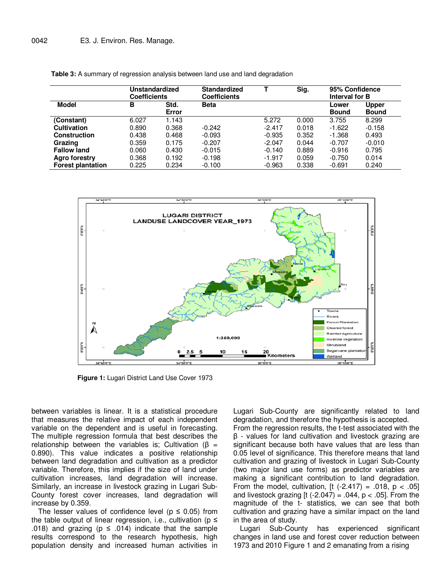|                          | Unstandardized<br><b>Coefficients</b> |               | <b>Standardized</b><br><b>Coefficients</b> |          | Sig.  | 95% Confidence<br>Interval for B |                              |
|--------------------------|---------------------------------------|---------------|--------------------------------------------|----------|-------|----------------------------------|------------------------------|
| Model                    | В                                     | Std.<br>Error | <b>Beta</b>                                |          |       | Lower<br><b>Bound</b>            | <b>Upper</b><br><b>Bound</b> |
| (Constant)               | 6.027                                 | 1.143         |                                            | 5.272    | 0.000 | 3.755                            | 8.299                        |
| <b>Cultivation</b>       | 0.890                                 | 0.368         | $-0.242$                                   | $-2.417$ | 0.018 | $-1.622$                         | $-0.158$                     |
| <b>Construction</b>      | 0.438                                 | 0.468         | $-0.093$                                   | $-0.935$ | 0.352 | $-1.368$                         | 0.493                        |
| Grazing                  | 0.359                                 | 0.175         | $-0.207$                                   | $-2.047$ | 0.044 | $-0.707$                         | $-0.010$                     |
| <b>Fallow land</b>       | 0.060                                 | 0.430         | $-0.015$                                   | $-0.140$ | 0.889 | $-0.916$                         | 0.795                        |
| <b>Agro forestry</b>     | 0.368                                 | 0.192         | $-0.198$                                   | $-1.917$ | 0.059 | $-0.750$                         | 0.014                        |
| <b>Forest plantation</b> | 0.225                                 | 0.234         | $-0.100$                                   | $-0.963$ | 0.338 | $-0.691$                         | 0.240                        |





**Figure 1:** Lugari District Land Use Cover 1973

between variables is linear. It is a statistical procedure that measures the relative impact of each independent variable on the dependent and is useful in forecasting. The multiple regression formula that best describes the relationship between the variables is; Cultivation ( $β =$ 0.890). This value indicates a positive relationship between land degradation and cultivation as a predictor variable. Therefore, this implies if the size of land under cultivation increases, land degradation will increase. Similarly, an increase in livestock grazing in Lugari Sub-County forest cover increases, land degradation will increase by 0.359.

The lesser values of confidence level ( $p \leq 0.05$ ) from the table output of linear regression, i.e., cultivation ( $p \le$ .018) and grazing ( $p \leq .014$ ) indicate that the sample results correspond to the research hypothesis, high population density and increased human activities in

Lugari Sub-County are significantly related to land degradation, and therefore the hypothesis is accepted. From the regression results, the t-test associated with the β - values for land cultivation and livestock grazing are significant because both have values that are less than 0.05 level of significance. This therefore means that land cultivation and grazing of livestock in Lugari Sub-County (two major land use forms) as predictor variables are making a significant contribution to land degradation. From the model, cultivation,  $[t(-2.417) = .018, p < .05]$ and livestock grazing [t  $(-2.047) = .044$ ,  $p < .05$ ]. From the magnitude of the t- statistics, we can see that both cultivation and grazing have a similar impact on the land in the area of study.

Lugari Sub-County has experienced significant changes in land use and forest cover reduction between 1973 and 2010 Figure 1 and 2 emanating from a rising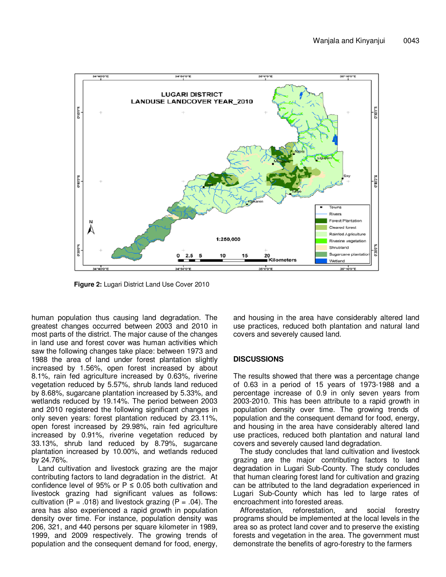

**Figure 2:** Lugari District Land Use Cover 2010

human population thus causing land degradation. The greatest changes occurred between 2003 and 2010 in most parts of the district. The major cause of the changes in land use and forest cover was human activities which saw the following changes take place: between 1973 and 1988 the area of land under forest plantation slightly increased by 1.56%, open forest increased by about 8.1%, rain fed agriculture increased by 0.63%, riverine vegetation reduced by 5.57%, shrub lands land reduced by 8.68%, sugarcane plantation increased by 5.33%, and wetlands reduced by 19.14%. The period between 2003 and 2010 registered the following significant changes in only seven years: forest plantation reduced by 23.11%, open forest increased by 29.98%, rain fed agriculture increased by 0.91%, riverine vegetation reduced by 33.13%, shrub land reduced by 8.79%, sugarcane plantation increased by 10.00%, and wetlands reduced by 24.76%.

Land cultivation and livestock grazing are the major contributing factors to land degradation in the district. At confidence level of 95% or  $P \le 0.05$  both cultivation and livestock grazing had significant values as follows: cultivation (P = .018) and livestock grazing (P = .04). The area has also experienced a rapid growth in population density over time. For instance, population density was 206, 321, and 440 persons per square kilometer in 1989, 1999, and 2009 respectively. The growing trends of population and the consequent demand for food, energy,

and housing in the area have considerably altered land use practices, reduced both plantation and natural land covers and severely caused land.

### **DISCUSSIONS**

The results showed that there was a percentage change of 0.63 in a period of 15 years of 1973-1988 and a percentage increase of 0.9 in only seven years from 2003-2010. This has been attribute to a rapid growth in population density over time. The growing trends of population and the consequent demand for food, energy, and housing in the area have considerably altered land use practices, reduced both plantation and natural land covers and severely caused land degradation.

The study concludes that land cultivation and livestock grazing are the major contributing factors to land degradation in Lugari Sub-County. The study concludes that human clearing forest land for cultivation and grazing can be attributed to the land degradation experienced in Lugari Sub-County which has led to large rates of encroachment into forested areas.

Afforestation, reforestation, and social forestry programs should be implemented at the local levels in the area so as protect land cover and to preserve the existing forests and vegetation in the area. The government must demonstrate the benefits of agro-forestry to the farmers